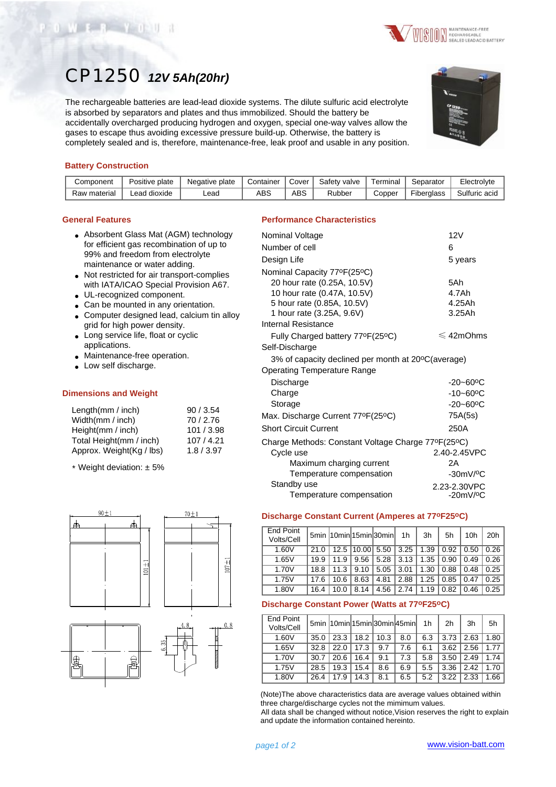#### (Note)The above characteristics data are average values obtained within three charge/discharge cycles not the mimimum values.

All data shall be changed without notice,Vision reserves the right to explain and update the information contained hereinto.

1.60V | 35.0 | 23.3 | 18.2 | 10.3 | 8.0 | 6.3 | 3.73 | 2.63 | 1.80 1.65V 32.8 | 22.0 | 17.3 | 9.7 | 7.6 | 6.1 | 3.62 | 2.56 | 1.77 1.70V 30.7 | 20.6 | 16.4 | 9.1 | 7.3 | 5.8 | 3.50 | 2.49 | 1.74 1.75V 28.5 | 19.3 | 15.4 | 8.6 | 6.9 | 5.5 | 3.36 | 2.42 | 1.70 1.80V 26.4 17.9 14.3 8.1 6.5 5.2 3.22 2.33 1.66

 $5min$  10min 15min 30min 45min 1h 2h 3h 5h

Temperature compensation -20mV/<sup>o</sup>C

 $\frac{20}{\text{Volts/Cell}}$  5min 10min 15min 30min 1h | 3h | 5h | 10h | 20h 1.60V 21.0 | 12.5 |10.00| 5.50 | 3.25 | 1.39 | 0.92 | 0.50 | 0.26 1.65V | 19.9 | 11.9 | 9.56 | 5.28 | 3.13 | 1.35 | 0.90 | 0.49 | 0.26 1.70V | 18.8 | 11.3 | 9.10 | 5.05 | 3.01 | 1.30 | 0.88 | 0.48 | 0.25 1.75V | 17.6 | 10.6 | 8.63 | 4.81 | 2.88 | 1.25 | 0.85 | 0.47 | 0.25 1.80V | 16.4 | 10.0 | 8.14 | 4.56 | 2.74 | 1.19 | 0.82 | 0.46 | 0.25

**Discharge Constant Current (Amperes at 77oF25oC)**

**Discharge Constant Power (Watts at 77oF25oC)**

End Point

End Point<br>Volts/Cell

| <b>Performance Characteristics</b>                 |                           |
|----------------------------------------------------|---------------------------|
| Nominal Voltage                                    | 12V                       |
| Number of cell                                     | 6                         |
| Design Life                                        | 5 years                   |
| Nominal Capacity 77ºF(25°C)                        |                           |
| 20 hour rate (0.25A, 10.5V)                        | 5Ah                       |
| 10 hour rate (0.47A, 10.5V)                        | 4.7Ah                     |
| 5 hour rate (0.85A, 10.5V)                         | 4.25Ah                    |
| 1 hour rate (3.25A, 9.6V)                          | 3.25Ah                    |
| Internal Resistance                                |                           |
| Fully Charged battery 77ºF(25°C)                   | $\leqslant$ 42mOhms       |
| Self-Discharge                                     |                           |
| 3% of capacity declined per month at 20°C(average) |                           |
| Operating Temperature Range                        |                           |
| Discharge                                          | $-20 - 60$ <sup>o</sup> C |
| Charge                                             | $-10 - 60$ <sup>o</sup> C |
| Storage                                            | $-20 - 60$ °C             |
| Max. Discharge Current 77°F(25°C)                  | 75A(5s)                   |
| <b>Short Circuit Current</b>                       | 250A                      |
| Charge Methods: Constant Voltage Charge 77°F(25°C) |                           |
| Cycle use                                          | 2.40-2.45VPC              |
| Maximum charging current                           | 2A                        |
| Temperature compensation                           | $-30mV$ / $°C$            |
| Standby use                                        | 2.23-2.30VPC              |

## CP1250 *12V 5Ah(20hr)*

The rechargeable batteries are lead-lead dioxide systems. The dilute sulfuric acid electrolyte is absorbed by separators and plates and thus immobilized. Should the battery be accidentally overcharged producing hydrogen and oxygen, special one-way valves allow the gases to escape thus avoiding excessive pressure build-up. Otherwise, the battery is completely sealed and is, therefore, maintenance-free, leak proof and usable in any position.

### **Battery Construction**

OWER YOUR

| Component    | Positive plate | Negative plate | Container | Cover      | Safety valve | Terminal | Separator         | Electrolyte   |
|--------------|----------------|----------------|-----------|------------|--------------|----------|-------------------|---------------|
| Raw material | Lead dioxide   | ∟ead           | ABS       | <b>ABS</b> | Rubber       | Copper   | <b>Fiberalass</b> | Sulfuric acid |

#### **General Features**

- Absorbent Glass Mat (AGM) technology for efficient gas recombination of up to 99% and freedom from electrolyte maintenance or water adding.
- Not restricted for air transport-complies with IATA/ICAO Special Provision A67.
- UL-recognized component.
- Can be mounted in any orientation.
- Computer designed lead, calcium tin alloy grid for high power density.
- Long service life, float or cyclic applications.
- Maintenance-free operation.
- Low self discharge.

#### **Dimensions and Weight**

| 90/3.54    |
|------------|
| 70/2.76    |
| 101 / 3.98 |
| 107/4.21   |
| 1.8/3.97   |
|            |

\* Weight deviation: ± 5%





# **SUDIT** MAINTENANCE-FREE<br>SECHARGEABLE<br>SEALED LEAD ACID BATTERY